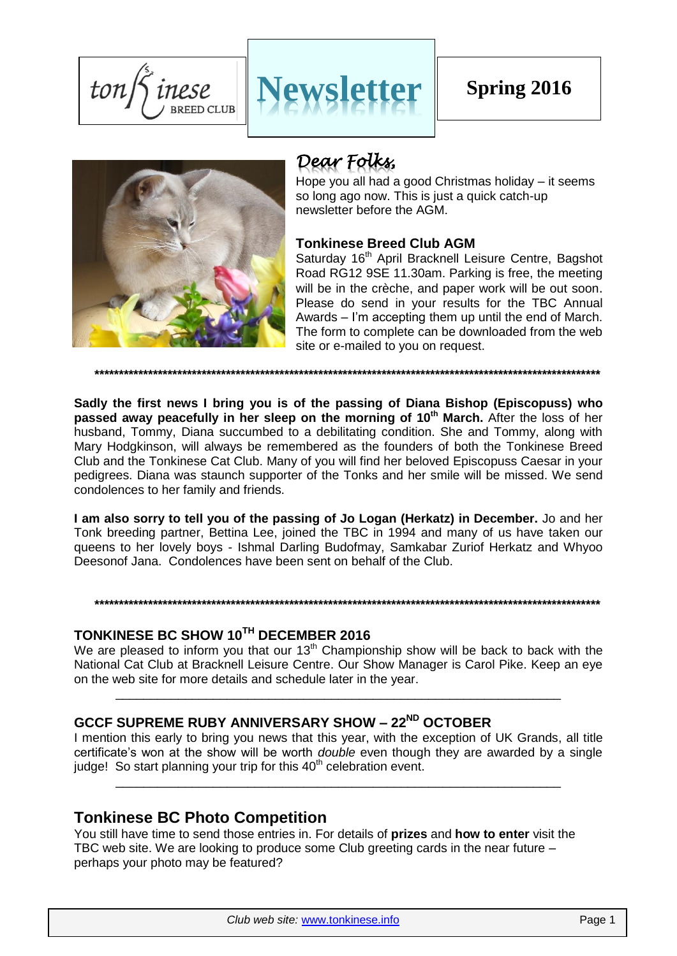$ton/$ inese **BREED CLUB** 





# *Dear Folks,*

Hope you all had a good Christmas holiday – it seems so long ago now. This is just a quick catch-up newsletter before the AGM.

## **Tonkinese Breed Club AGM**

Saturday 16<sup>th</sup> April Bracknell Leisure Centre, Bagshot Road RG12 9SE 11.30am. Parking is free, the meeting will be in the crèche, and paper work will be out soon. Please do send in your results for the TBC Annual Awards – I'm accepting them up until the end of March. The form to complete can be downloaded from the web site or e-mailed to you on request.

**\*\*\*\*\*\*\*\*\*\*\*\*\*\*\*\*\*\*\*\*\*\*\*\*\*\*\*\*\*\*\*\*\*\*\*\*\*\*\*\*\*\*\*\*\*\*\*\*\*\*\*\*\*\*\*\*\*\*\*\*\*\*\*\*\*\*\*\*\*\*\*\*\*\*\*\*\*\*\*\*\*\*\*\*\*\*\*\*\*\*\*\*\*\*\*\*\*\*\*\*\*\*\*\***

**Sadly the first news I bring you is of the passing of Diana Bishop (Episcopuss) who passed away peacefully in her sleep on the morning of 10th March.** After the loss of her husband, Tommy, Diana succumbed to a debilitating condition. She and Tommy, along with Mary Hodgkinson, will always be remembered as the founders of both the Tonkinese Breed Club and the Tonkinese Cat Club. Many of you will find her beloved Episcopuss Caesar in your pedigrees. Diana was staunch supporter of the Tonks and her smile will be missed. We send condolences to her family and friends.

**I am also sorry to tell you of the passing of Jo Logan (Herkatz) in December.** Jo and her Tonk breeding partner, Bettina Lee, joined the TBC in 1994 and many of us have taken our queens to her lovely boys - Ishmal Darling Budofmay, Samkabar Zuriof Herkatz and Whyoo Deesonof Jana. Condolences have been sent on behalf of the Club.

## **TONKINESE BC SHOW 10TH DECEMBER 2016**

We are pleased to inform you that our  $13<sup>th</sup>$  Championship show will be back to back with the National Cat Club at Bracknell Leisure Centre. Our Show Manager is Carol Pike. Keep an eye on the web site for more details and schedule later in the year.

\_\_\_\_\_\_\_\_\_\_\_\_\_\_\_\_\_\_\_\_\_\_\_\_\_\_\_\_\_\_\_\_\_\_\_\_\_\_\_\_\_\_\_\_\_\_\_\_\_\_\_\_\_\_\_\_\_\_\_\_\_\_\_\_

## **GCCF SUPREME RUBY ANNIVERSARY SHOW – 22ND OCTOBER**

**\*\*\*\*\*\*\*\*\*\*\*\*\*\*\*\*\*\*\*\*\*\*\*\*\*\*\*\*\*\*\*\*\*\*\*\*\*\*\*\*\*\*\*\*\*\*\*\*\*\*\*\*\*\*\*\*\*\*\*\*\*\*\*\*\*\*\*\*\*\*\*\*\*\*\*\*\*\*\*\*\*\*\*\*\*\*\*\*\*\*\*\*\*\*\*\*\*\*\*\*\*\*\*\***

I mention this early to bring you news that this year, with the exception of UK Grands, all title certificate's won at the show will be worth *double* even though they are awarded by a single judge! So start planning your trip for this  $40<sup>th</sup>$  celebration event.

\_\_\_\_\_\_\_\_\_\_\_\_\_\_\_\_\_\_\_\_\_\_\_\_\_\_\_\_\_\_\_\_\_\_\_\_\_\_\_\_\_\_\_\_\_\_\_\_\_\_\_\_\_\_\_\_\_\_\_\_\_\_\_\_

## **Tonkinese BC Photo Competition**

You still have time to send those entries in. For details of **prizes** and **how to enter** visit the TBC web site. We are looking to produce some Club greeting cards in the near future – perhaps your photo may be featured?